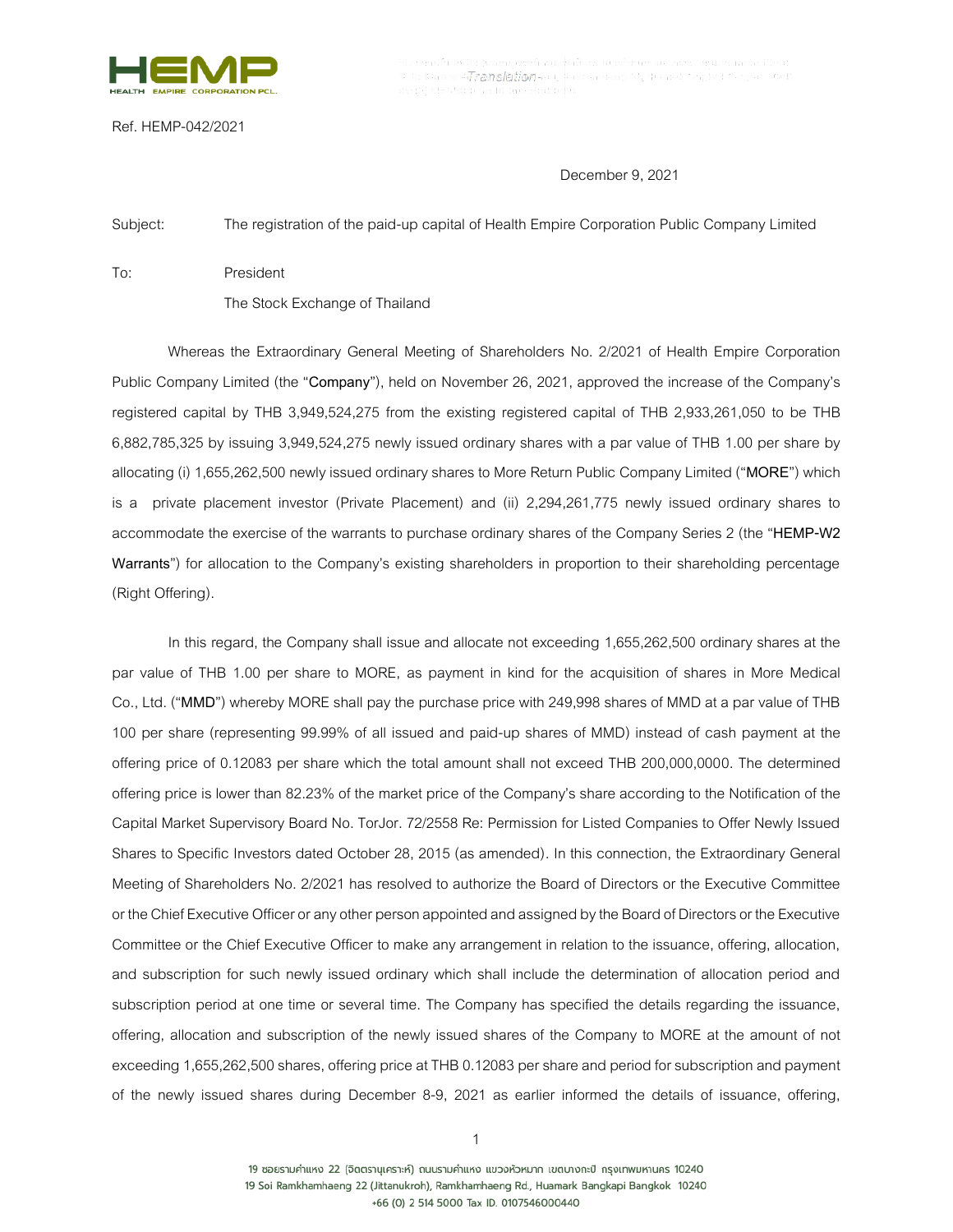

-Translation-

Ref. HEMP-042/2021

## December 9, 2021

Subject: The registration of the paid-up capital of Health Empire Corporation Public Company Limited

To: President

The Stock Exchange of Thailand

Whereas the Extraordinary General Meeting of Shareholders No. 2/2021 of Health Empire Corporation Public Company Limited (the "**Company**"), held on November 26, 2021, approved the increase of the Company's registered capital by THB 3,949,524,275 from the existing registered capital of THB 2,933,261,050 to be THB 6,882,785,325 by issuing 3,949,524,275 newly issued ordinary shares with a par value of THB 1.00 per share by allocating (i) 1,655,262,500 newly issued ordinary shares to More Return Public Company Limited ("**MORE**") which is a private placement investor (Private Placement) and (ii) 2,294,261,775 newly issued ordinary shares to accommodate the exercise of the warrants to purchase ordinary shares of the Company Series 2 (the "**HEMP-W2 Warrants**") for allocation to the Company's existing shareholders in proportion to their shareholding percentage (Right Offering).

In this regard, the Company shall issue and allocate not exceeding 1,655,262,500 ordinary shares at the par value of THB 1.00 per share to MORE, as payment in kind for the acquisition of shares in More Medical Co., Ltd. ("**MMD**") whereby MORE shall pay the purchase price with 249,998 shares of MMD at a par value of THB 100 per share (representing 99.99% of all issued and paid-up shares of MMD) instead of cash payment at the offering price of 0.12083 per share which the total amount shall not exceed THB 200,000,0000. The determined offering price is lower than 82.23% of the market price of the Company's share according to the Notification of the Capital Market Supervisory Board No. TorJor. 72/2558 Re: Permission for Listed Companies to Offer Newly Issued Shares to Specific Investors dated October 28, 2015 (as amended). In this connection, the Extraordinary General Meeting of Shareholders No. 2/2021 has resolved to authorize the Board of Directors or the Executive Committee or the Chief Executive Officer or any other person appointed and assigned by the Board of Directors or the Executive Committee or the Chief Executive Officer to make any arrangement in relation to the issuance, offering, allocation, and subscription for such newly issued ordinary which shall include the determination of allocation period and subscription period at one time or several time. The Company has specified the details regarding the issuance, offering, allocation and subscription of the newly issued shares of the Company to MORE at the amount of not exceeding 1,655,262,500 shares, offering price at THB 0.12083 per share and period for subscription and payment of the newly issued shares during December 8-9, 2021 as earlier informed the details of issuance, offering,